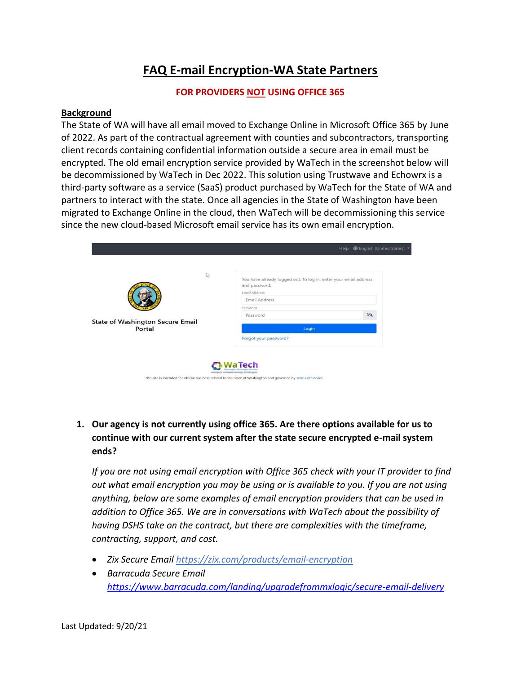# **FAQ E-mail Encryption-WA State Partners**

#### **FOR PROVIDERS NOT USING OFFICE 365**

#### **Background**

The State of WA will have all email moved to Exchange Online in Microsoft Office 365 by June of 2022. As part of the contractual agreement with counties and subcontractors, transporting client records containing confidential information outside a secure area in email must be encrypted. The old email encryption service provided by WaTech in the screenshot below will be decommissioned by WaTech in Dec 2022. This solution using Trustwave and Echowrx is a third-party software as a service (SaaS) product purchased by WaTech for the State of WA and partners to interact with the state. Once all agencies in the State of Washington have been migrated to Exchange Online in the cloud, then WaTech will be decommissioning this service since the new cloud-based Microsoft email service has its own email encryption.

| $\mathbb{R}$                               | You have already logged out. To log in, enter your email address<br>and password.<br><b>Email Address</b><br>Email Address<br>Password<br>Password | $\mathscr{D}$ |
|--------------------------------------------|----------------------------------------------------------------------------------------------------------------------------------------------------|---------------|
| State of Washington Secure Email<br>Portal | Login                                                                                                                                              |               |
|                                            | Forgot your password?                                                                                                                              |               |

# **1. Our agency is not currently using office 365. Are there options available for us to continue with our current system after the state secure encrypted e-mail system ends?**

*If you are not using email encryption with Office 365 check with your IT provider to find out what email encryption you may be using or is available to you. If you are not using anything, below are some examples of email encryption providers that can be used in addition to Office 365. We are in conversations with WaTech about the possibility of having DSHS take on the contract, but there are complexities with the timeframe, contracting, support, and cost.*

- *Zix Secure Email https://zix.com/products/email-encryption*
- *Barracuda Secure Email <https://www.barracuda.com/landing/upgradefrommxlogic/secure-email-delivery>*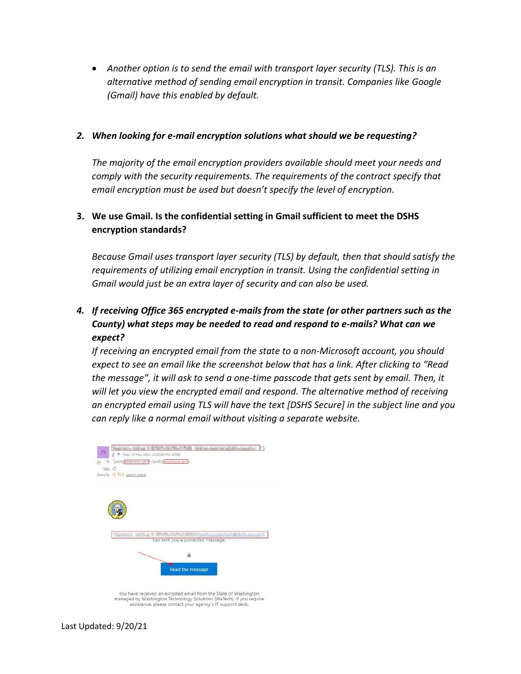• *Another option is to send the email with transport layer security (TLS). This is an alternative method of sending email encryption in transit. Companies like Google (Gmail) have this enabled by default.* 

### *2. When looking for e-mail encryption solutions what should we be requesting?*

*The majority of the email encryption providers available should meet your needs and comply with the security requirements. The requirements of the contract specify that email encryption must be used but doesn't specify the level of encryption.*

## **3. We use Gmail. Is the confidential setting in Gmail sufficient to meet the DSHS encryption standards?**

*Because Gmail uses transport layer security (TLS) by default, then that should satisfy the requirements of utilizing email encryption in transit. Using the confidential setting in Gmail would just be an extra layer of security and can also be used.*

# *4. If receiving Office 365 encrypted e-mails from the state (or other partners such as the County) what steps may be needed to read and respond to e-mails? What can we expect?*

*If receiving an encrypted email from the state to a non-Microsoft account, you should expect to see an email like the screenshot below that has a link. After clicking to "Read the message", it will ask to send a one-time passcode that gets sent by email. Then, it will let you view the encrypted email and respond. The alternative method of receiving an encrypted email using TLS will have the text [DSHS Secure] in the subject line and you can reply like a normal email without visiting a separate website.*



You have received an ecrypted email from the State of Washington managed by Washington Technology Solutions (WaTech). If you require<br>assistance, please contact your agency's IT support desk.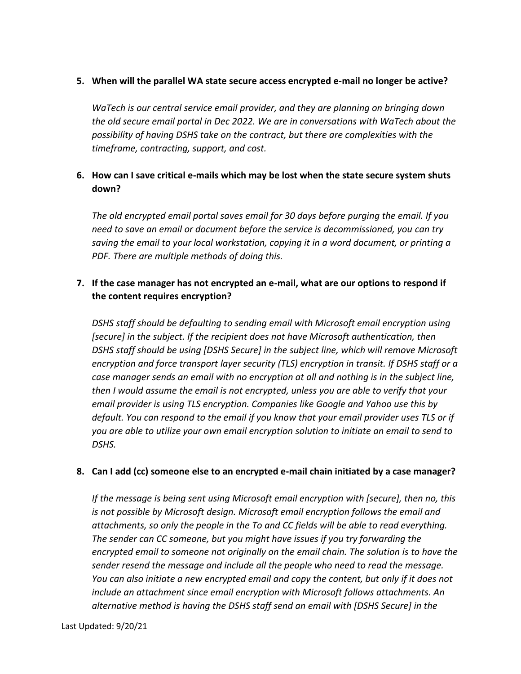## **5. When will the parallel WA state secure access encrypted e-mail no longer be active?**

*WaTech is our central service email provider, and they are planning on bringing down the old secure email portal in Dec 2022. We are in conversations with WaTech about the possibility of having DSHS take on the contract, but there are complexities with the timeframe, contracting, support, and cost.*

## **6. How can I save critical e-mails which may be lost when the state secure system shuts down?**

*The old encrypted email portal saves email for 30 days before purging the email. If you need to save an email or document before the service is decommissioned, you can try saving the email to your local workstation, copying it in a word document, or printing a PDF. There are multiple methods of doing this.*

## **7. If the case manager has not encrypted an e-mail, what are our options to respond if the content requires encryption?**

*DSHS staff should be defaulting to sending email with Microsoft email encryption using*  [secure] in the subject. If the recipient does not have Microsoft authentication, then *DSHS staff should be using [DSHS Secure] in the subject line, which will remove Microsoft encryption and force transport layer security (TLS) encryption in transit. If DSHS staff or a case manager sends an email with no encryption at all and nothing is in the subject line, then I would assume the email is not encrypted, unless you are able to verify that your email provider is using TLS encryption. Companies like Google and Yahoo use this by default. You can respond to the email if you know that your email provider uses TLS or if you are able to utilize your own email encryption solution to initiate an email to send to DSHS.* 

### **8. Can I add (cc) someone else to an encrypted e-mail chain initiated by a case manager?**

*If the message is being sent using Microsoft email encryption with [secure], then no, this is not possible by Microsoft design. Microsoft email encryption follows the email and attachments, so only the people in the To and CC fields will be able to read everything. The sender can CC someone, but you might have issues if you try forwarding the encrypted email to someone not originally on the email chain. The solution is to have the sender resend the message and include all the people who need to read the message. You can also initiate a new encrypted email and copy the content, but only if it does not include an attachment since email encryption with Microsoft follows attachments. An alternative method is having the DSHS staff send an email with [DSHS Secure] in the*